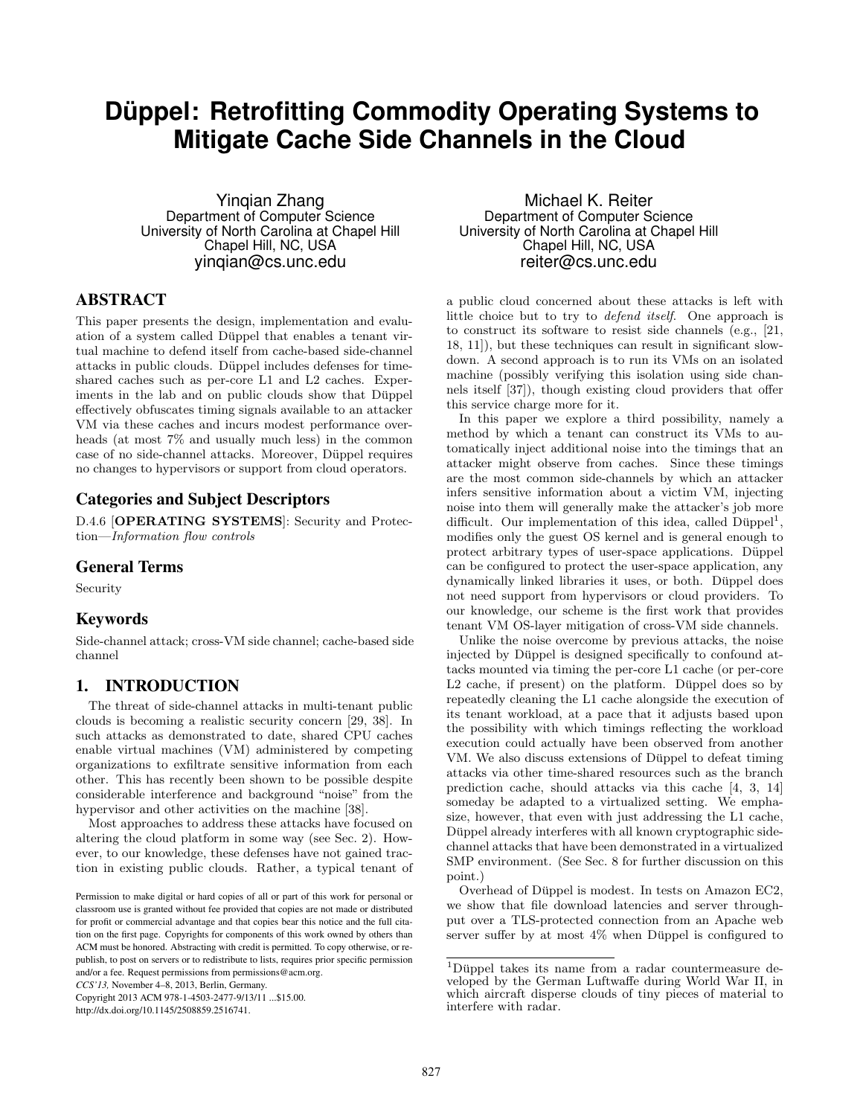# **Düppel: Retrofitting Commodity Operating Systems to Mitigate Cache Side Channels in the Cloud**

Yinqian Zhang Department of Computer Science University of North Carolina at Chapel Hill Chapel Hill, NC, USA yinqian@cs.unc.edu

## ABSTRACT

This paper presents the design, implementation and evaluation of a system called Düppel that enables a tenant virtual machine to defend itself from cache-based side-channel attacks in public clouds. Düppel includes defenses for timeshared caches such as per-core L1 and L2 caches. Experiments in the lab and on public clouds show that Düppel effectively obfuscates timing signals available to an attacker VM via these caches and incurs modest performance overheads (at most 7% and usually much less) in the common case of no side-channel attacks. Moreover, Düppel requires no changes to hypervisors or support from cloud operators.

## Categories and Subject Descriptors

D.4.6 [OPERATING SYSTEMS]: Security and Protection—Information flow controls

## General Terms

Security

## Keywords

Side-channel attack; cross-VM side channel; cache-based side channel

## 1. INTRODUCTION

The threat of side-channel attacks in multi-tenant public clouds is becoming a realistic security concern [29, 38]. In such attacks as demonstrated to date, shared CPU caches enable virtual machines (VM) administered by competing organizations to exfiltrate sensitive information from each other. This has recently been shown to be possible despite considerable interference and background "noise" from the hypervisor and other activities on the machine [38].

Most approaches to address these attacks have focused on altering the cloud platform in some way (see Sec. 2). However, to our knowledge, these defenses have not gained traction in existing public clouds. Rather, a typical tenant of

*CCS'13,* November 4–8, 2013, Berlin, Germany.

Copyright 2013 ACM 978-1-4503-2477-9/13/11 ...\$15.00.

http://dx.doi.org/10.1145/2508859.2516741.

Michael K. Reiter Department of Computer Science University of North Carolina at Chapel Hill Chapel Hill, NC, USA reiter@cs.unc.edu

a public cloud concerned about these attacks is left with little choice but to try to defend itself. One approach is to construct its software to resist side channels (e.g., [21, 18, 11]), but these techniques can result in significant slowdown. A second approach is to run its VMs on an isolated machine (possibly verifying this isolation using side channels itself [37]), though existing cloud providers that offer this service charge more for it.

In this paper we explore a third possibility, namely a method by which a tenant can construct its VMs to automatically inject additional noise into the timings that an attacker might observe from caches. Since these timings are the most common side-channels by which an attacker infers sensitive information about a victim VM, injecting noise into them will generally make the attacker's job more difficult. Our implementation of this idea, called  $\text{Düppel}^1$ , modifies only the guest OS kernel and is general enough to protect arbitrary types of user-space applications. Düppel can be configured to protect the user-space application, any dynamically linked libraries it uses, or both. Düppel does not need support from hypervisors or cloud providers. To our knowledge, our scheme is the first work that provides tenant VM OS-layer mitigation of cross-VM side channels.

Unlike the noise overcome by previous attacks, the noise injected by Düppel is designed specifically to confound attacks mounted via timing the per-core L1 cache (or per-core  $L2$  cache, if present) on the platform. Duppel does so by repeatedly cleaning the L1 cache alongside the execution of its tenant workload, at a pace that it adjusts based upon the possibility with which timings reflecting the workload execution could actually have been observed from another VM. We also discuss extensions of Düppel to defeat timing attacks via other time-shared resources such as the branch prediction cache, should attacks via this cache [4, 3, 14] someday be adapted to a virtualized setting. We emphasize, however, that even with just addressing the L1 cache, Düppel already interferes with all known cryptographic sidechannel attacks that have been demonstrated in a virtualized SMP environment. (See Sec. 8 for further discussion on this point.)

Overhead of Düppel is modest. In tests on Amazon EC2, we show that file download latencies and server throughput over a TLS-protected connection from an Apache web server suffer by at most  $4\%$  when Düppel is configured to

Permission to make digital or hard copies of all or part of this work for personal or classroom use is granted without fee provided that copies are not made or distributed for profit or commercial advantage and that copies bear this notice and the full citation on the first page. Copyrights for components of this work owned by others than ACM must be honored. Abstracting with credit is permitted. To copy otherwise, or republish, to post on servers or to redistribute to lists, requires prior specific permission and/or a fee. Request permissions from permissions@acm.org.

 $1$ Düppel takes its name from a radar countermeasure developed by the German Luftwaffe during World War II, in which aircraft disperse clouds of tiny pieces of material to interfere with radar.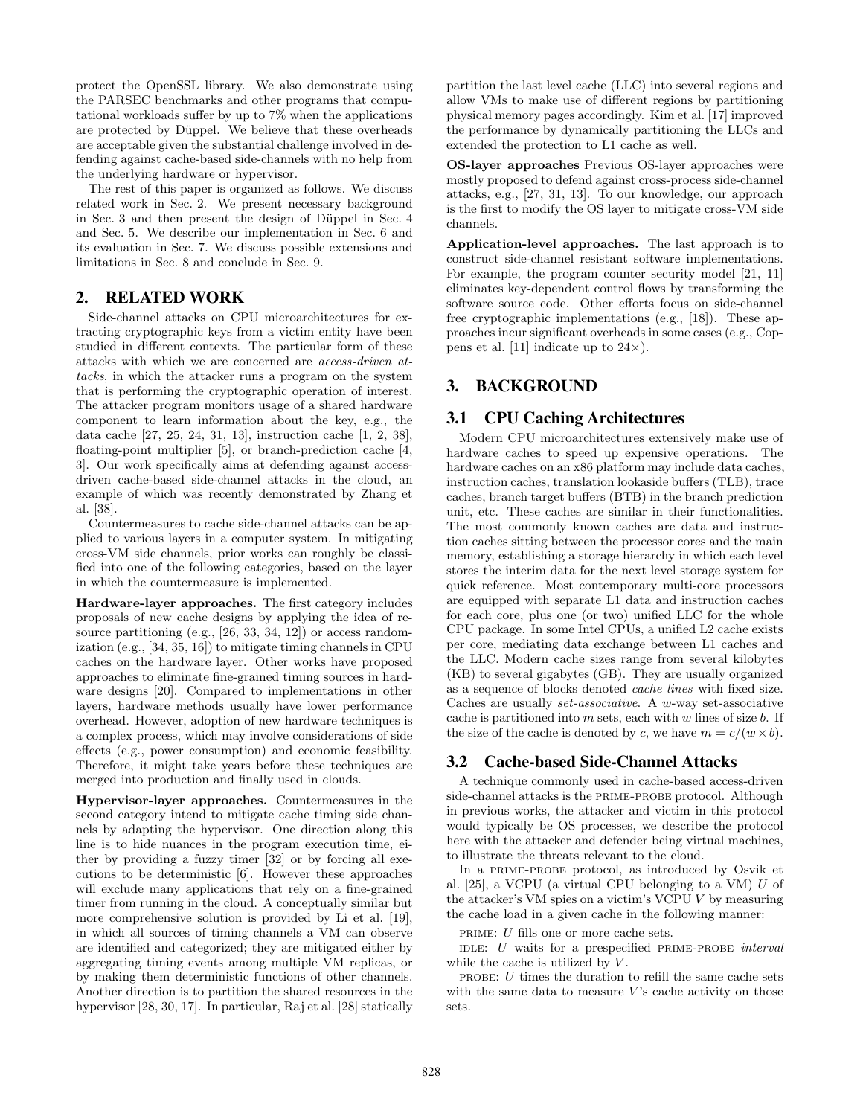protect the OpenSSL library. We also demonstrate using the PARSEC benchmarks and other programs that computational workloads suffer by up to 7% when the applications are protected by Düppel. We believe that these overheads are acceptable given the substantial challenge involved in defending against cache-based side-channels with no help from the underlying hardware or hypervisor.

The rest of this paper is organized as follows. We discuss related work in Sec. 2. We present necessary background in Sec. 3 and then present the design of Düppel in Sec. 4 and Sec. 5. We describe our implementation in Sec. 6 and its evaluation in Sec. 7. We discuss possible extensions and limitations in Sec. 8 and conclude in Sec. 9.

## 2. RELATED WORK

Side-channel attacks on CPU microarchitectures for extracting cryptographic keys from a victim entity have been studied in different contexts. The particular form of these attacks with which we are concerned are access-driven attacks, in which the attacker runs a program on the system that is performing the cryptographic operation of interest. The attacker program monitors usage of a shared hardware component to learn information about the key, e.g., the data cache [27, 25, 24, 31, 13], instruction cache [1, 2, 38], floating-point multiplier [5], or branch-prediction cache [4, 3]. Our work specifically aims at defending against accessdriven cache-based side-channel attacks in the cloud, an example of which was recently demonstrated by Zhang et al. [38].

Countermeasures to cache side-channel attacks can be applied to various layers in a computer system. In mitigating cross-VM side channels, prior works can roughly be classified into one of the following categories, based on the layer in which the countermeasure is implemented.

Hardware-layer approaches. The first category includes proposals of new cache designs by applying the idea of resource partitioning (e.g., [26, 33, 34, 12]) or access randomization (e.g., [34, 35, 16]) to mitigate timing channels in CPU caches on the hardware layer. Other works have proposed approaches to eliminate fine-grained timing sources in hardware designs [20]. Compared to implementations in other layers, hardware methods usually have lower performance overhead. However, adoption of new hardware techniques is a complex process, which may involve considerations of side effects (e.g., power consumption) and economic feasibility. Therefore, it might take years before these techniques are merged into production and finally used in clouds.

Hypervisor-layer approaches. Countermeasures in the second category intend to mitigate cache timing side channels by adapting the hypervisor. One direction along this line is to hide nuances in the program execution time, either by providing a fuzzy timer [32] or by forcing all executions to be deterministic [6]. However these approaches will exclude many applications that rely on a fine-grained timer from running in the cloud. A conceptually similar but more comprehensive solution is provided by Li et al. [19], in which all sources of timing channels a VM can observe are identified and categorized; they are mitigated either by aggregating timing events among multiple VM replicas, or by making them deterministic functions of other channels. Another direction is to partition the shared resources in the hypervisor [28, 30, 17]. In particular, Raj et al. [28] statically

partition the last level cache (LLC) into several regions and allow VMs to make use of different regions by partitioning physical memory pages accordingly. Kim et al. [17] improved the performance by dynamically partitioning the LLCs and extended the protection to L1 cache as well.

OS-layer approaches Previous OS-layer approaches were mostly proposed to defend against cross-process side-channel attacks, e.g., [27, 31, 13]. To our knowledge, our approach is the first to modify the OS layer to mitigate cross-VM side channels.

Application-level approaches. The last approach is to construct side-channel resistant software implementations. For example, the program counter security model [21, 11] eliminates key-dependent control flows by transforming the software source code. Other efforts focus on side-channel free cryptographic implementations (e.g., [18]). These approaches incur significant overheads in some cases (e.g., Coppens et al. [11] indicate up to  $24 \times$ ).

# 3. BACKGROUND

## 3.1 CPU Caching Architectures

Modern CPU microarchitectures extensively make use of hardware caches to speed up expensive operations. The hardware caches on an x86 platform may include data caches, instruction caches, translation lookaside buffers (TLB), trace caches, branch target buffers (BTB) in the branch prediction unit, etc. These caches are similar in their functionalities. The most commonly known caches are data and instruction caches sitting between the processor cores and the main memory, establishing a storage hierarchy in which each level stores the interim data for the next level storage system for quick reference. Most contemporary multi-core processors are equipped with separate L1 data and instruction caches for each core, plus one (or two) unified LLC for the whole CPU package. In some Intel CPUs, a unified L2 cache exists per core, mediating data exchange between L1 caches and the LLC. Modern cache sizes range from several kilobytes (KB) to several gigabytes (GB). They are usually organized as a sequence of blocks denoted cache lines with fixed size. Caches are usually set-associative. A w-way set-associative cache is partitioned into  $m$  sets, each with  $w$  lines of size  $b$ . If the size of the cache is denoted by c, we have  $m = c/(w \times b)$ .

## 3.2 Cache-based Side-Channel Attacks

A technique commonly used in cache-based access-driven side-channel attacks is the prime-probe protocol. Although in previous works, the attacker and victim in this protocol would typically be OS processes, we describe the protocol here with the attacker and defender being virtual machines, to illustrate the threats relevant to the cloud.

In a prime-probe protocol, as introduced by Osvik et al.  $[25]$ , a VCPU (a virtual CPU belonging to a VM) U of the attacker's VM spies on a victim's VCPU V by measuring the cache load in a given cache in the following manner:

prime: U fills one or more cache sets.

IDLE:  $U$  waits for a prespecified PRIME-PROBE interval while the cache is utilized by  $V$ .

PROBE:  $U$  times the duration to refill the same cache sets with the same data to measure  $V$ 's cache activity on those sets.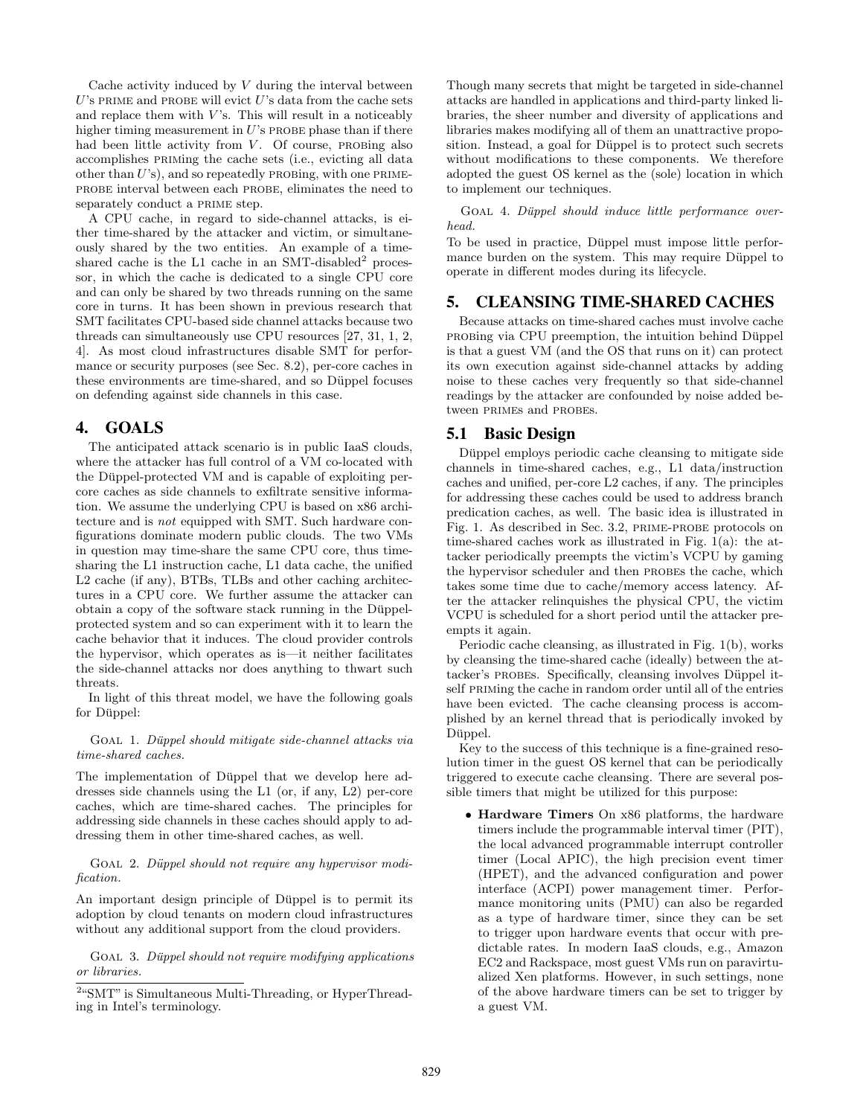Cache activity induced by V during the interval between  $U$ 's PRIME and PROBE will evict  $U$ 's data from the cache sets and replace them with  $V$ 's. This will result in a noticeably higher timing measurement in  $U$ 's PROBE phase than if there had been little activity from  $V$ . Of course, probing also accomplishes priming the cache sets (i.e., evicting all data other than  $U$ 's), and so repeatedly PROBing, with one PRIMEprobe interval between each probe, eliminates the need to separately conduct a prime step.

A CPU cache, in regard to side-channel attacks, is either time-shared by the attacker and victim, or simultaneously shared by the two entities. An example of a timeshared cache is the L1 cache in an SMT-disabled<sup>2</sup> processor, in which the cache is dedicated to a single CPU core and can only be shared by two threads running on the same core in turns. It has been shown in previous research that SMT facilitates CPU-based side channel attacks because two threads can simultaneously use CPU resources [27, 31, 1, 2, 4]. As most cloud infrastructures disable SMT for performance or security purposes (see Sec. 8.2), per-core caches in these environments are time-shared, and so Düppel focuses on defending against side channels in this case.

## 4. GOALS

The anticipated attack scenario is in public IaaS clouds, where the attacker has full control of a VM co-located with the Düppel-protected VM and is capable of exploiting percore caches as side channels to exfiltrate sensitive information. We assume the underlying CPU is based on x86 architecture and is not equipped with SMT. Such hardware configurations dominate modern public clouds. The two VMs in question may time-share the same CPU core, thus timesharing the L1 instruction cache, L1 data cache, the unified L2 cache (if any), BTBs, TLBs and other caching architectures in a CPU core. We further assume the attacker can obtain a copy of the software stack running in the Düppelprotected system and so can experiment with it to learn the cache behavior that it induces. The cloud provider controls the hypervisor, which operates as is—it neither facilitates the side-channel attacks nor does anything to thwart such threats.

In light of this threat model, we have the following goals for Düppel:

GOAL 1. Düppel should mitigate side-channel attacks via time-shared caches.

The implementation of Düppel that we develop here addresses side channels using the L1 (or, if any, L2) per-core caches, which are time-shared caches. The principles for addressing side channels in these caches should apply to addressing them in other time-shared caches, as well.

GOAL 2. Düppel should not require any hypervisor modification.

An important design principle of Düppel is to permit its adoption by cloud tenants on modern cloud infrastructures without any additional support from the cloud providers.

GOAL 3. Düppel should not require modifying applications or libraries.

Though many secrets that might be targeted in side-channel attacks are handled in applications and third-party linked libraries, the sheer number and diversity of applications and libraries makes modifying all of them an unattractive proposition. Instead, a goal for Düppel is to protect such secrets without modifications to these components. We therefore adopted the guest OS kernel as the (sole) location in which to implement our techniques.

GOAL 4. Düppel should induce little performance overhead.

To be used in practice, Düppel must impose little performance burden on the system. This may require Düppel to operate in different modes during its lifecycle.

## 5. CLEANSING TIME-SHARED CACHES

Because attacks on time-shared caches must involve cache probing via CPU preemption, the intuition behind Duppel ¨ is that a guest VM (and the OS that runs on it) can protect its own execution against side-channel attacks by adding noise to these caches very frequently so that side-channel readings by the attacker are confounded by noise added between PRIMES and PROBES.

## 5.1 Basic Design

Düppel employs periodic cache cleansing to mitigate side channels in time-shared caches, e.g., L1 data/instruction caches and unified, per-core L2 caches, if any. The principles for addressing these caches could be used to address branch predication caches, as well. The basic idea is illustrated in Fig. 1. As described in Sec. 3.2, PRIME-PROBE protocols on time-shared caches work as illustrated in Fig. 1(a): the attacker periodically preempts the victim's VCPU by gaming the hypervisor scheduler and then PROBEs the cache, which takes some time due to cache/memory access latency. After the attacker relinquishes the physical CPU, the victim VCPU is scheduled for a short period until the attacker preempts it again.

Periodic cache cleansing, as illustrated in Fig. 1(b), works by cleansing the time-shared cache (ideally) between the attacker's PROBEs. Specifically, cleansing involves Düppel itself PRIMing the cache in random order until all of the entries have been evicted. The cache cleansing process is accomplished by an kernel thread that is periodically invoked by Diippel.

Key to the success of this technique is a fine-grained resolution timer in the guest OS kernel that can be periodically triggered to execute cache cleansing. There are several possible timers that might be utilized for this purpose:

• Hardware Timers On x86 platforms, the hardware timers include the programmable interval timer (PIT), the local advanced programmable interrupt controller timer (Local APIC), the high precision event timer (HPET), and the advanced configuration and power interface (ACPI) power management timer. Performance monitoring units (PMU) can also be regarded as a type of hardware timer, since they can be set to trigger upon hardware events that occur with predictable rates. In modern IaaS clouds, e.g., Amazon EC2 and Rackspace, most guest VMs run on paravirtualized Xen platforms. However, in such settings, none of the above hardware timers can be set to trigger by a guest VM.

<sup>&</sup>lt;sup>2</sup>"SMT" is Simultaneous Multi-Threading, or HyperThreading in Intel's terminology.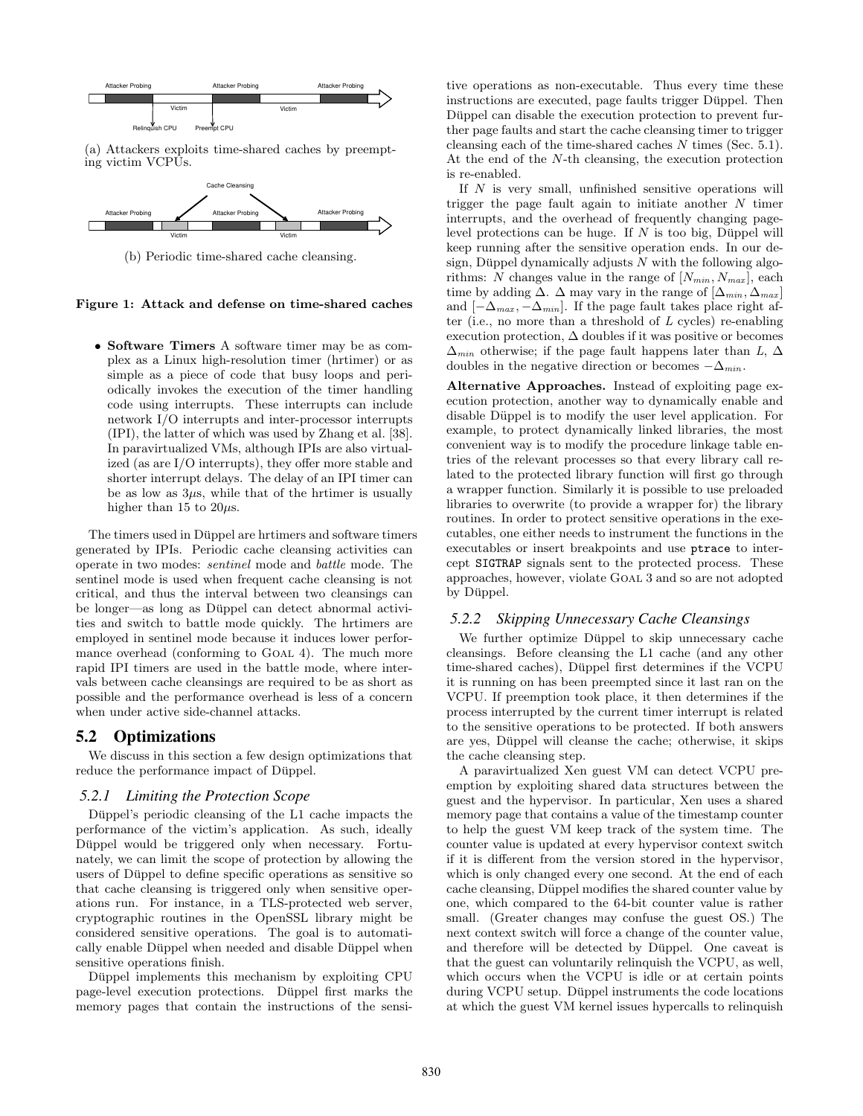

(a) Attackers exploits time-shared caches by preempting victim VCPUs.



(b) Periodic time-shared cache cleansing.

Figure 1: Attack and defense on time-shared caches

• Software Timers A software timer may be as complex as a Linux high-resolution timer (hrtimer) or as simple as a piece of code that busy loops and periodically invokes the execution of the timer handling code using interrupts. These interrupts can include network I/O interrupts and inter-processor interrupts (IPI), the latter of which was used by Zhang et al. [38]. In paravirtualized VMs, although IPIs are also virtualized (as are I/O interrupts), they offer more stable and shorter interrupt delays. The delay of an IPI timer can be as low as  $3\mu s$ , while that of the hrtimer is usually higher than 15 to  $20\mu$ s.

The timers used in Düppel are hrtimers and software timers generated by IPIs. Periodic cache cleansing activities can operate in two modes: sentinel mode and battle mode. The sentinel mode is used when frequent cache cleansing is not critical, and thus the interval between two cleansings can be longer—as long as Düppel can detect abnormal activities and switch to battle mode quickly. The hrtimers are employed in sentinel mode because it induces lower performance overhead (conforming to GOAL 4). The much more rapid IPI timers are used in the battle mode, where intervals between cache cleansings are required to be as short as possible and the performance overhead is less of a concern when under active side-channel attacks.

## 5.2 Optimizations

We discuss in this section a few design optimizations that reduce the performance impact of Düppel.

#### *5.2.1 Limiting the Protection Scope*

Düppel's periodic cleansing of the L1 cache impacts the performance of the victim's application. As such, ideally Düppel would be triggered only when necessary. Fortunately, we can limit the scope of protection by allowing the users of Düppel to define specific operations as sensitive so that cache cleansing is triggered only when sensitive operations run. For instance, in a TLS-protected web server, cryptographic routines in the OpenSSL library might be considered sensitive operations. The goal is to automatically enable Düppel when needed and disable Düppel when sensitive operations finish.

Düppel implements this mechanism by exploiting CPU page-level execution protections. Duppel first marks the memory pages that contain the instructions of the sensitive operations as non-executable. Thus every time these instructions are executed, page faults trigger Düppel. Then Düppel can disable the execution protection to prevent further page faults and start the cache cleansing timer to trigger cleansing each of the time-shared caches  $N$  times (Sec. 5.1). At the end of the N-th cleansing, the execution protection is re-enabled.

If  $N$  is very small, unfinished sensitive operations will trigger the page fault again to initiate another N timer interrupts, and the overhead of frequently changing pagelevel protections can be huge. If  $N$  is too big, Düppel will keep running after the sensitive operation ends. In our design, Düppel dynamically adjusts  $N$  with the following algorithms: N changes value in the range of  $[N_{min}, N_{max}]$ , each time by adding  $\Delta$ .  $\Delta$  may vary in the range of  $[\Delta_{min}, \Delta_{max}]$ and  $[-\Delta_{max}, -\Delta_{min}]$ . If the page fault takes place right after (i.e., no more than a threshold of  $L$  cycles) re-enabling execution protection,  $\Delta$  doubles if it was positive or becomes  $\Delta_{min}$  otherwise; if the page fault happens later than L,  $\Delta$ doubles in the negative direction or becomes  $-\Delta_{min}$ .

Alternative Approaches. Instead of exploiting page execution protection, another way to dynamically enable and disable Düppel is to modify the user level application. For example, to protect dynamically linked libraries, the most convenient way is to modify the procedure linkage table entries of the relevant processes so that every library call related to the protected library function will first go through a wrapper function. Similarly it is possible to use preloaded libraries to overwrite (to provide a wrapper for) the library routines. In order to protect sensitive operations in the executables, one either needs to instrument the functions in the executables or insert breakpoints and use ptrace to intercept SIGTRAP signals sent to the protected process. These approaches, however, violate Goal 3 and so are not adopted by Düppel.

#### *5.2.2 Skipping Unnecessary Cache Cleansings*

We further optimize Düppel to skip unnecessary cache cleansings. Before cleansing the L1 cache (and any other time-shared caches), Düppel first determines if the VCPU it is running on has been preempted since it last ran on the VCPU. If preemption took place, it then determines if the process interrupted by the current timer interrupt is related to the sensitive operations to be protected. If both answers are yes, Düppel will cleanse the cache; otherwise, it skips the cache cleansing step.

A paravirtualized Xen guest VM can detect VCPU preemption by exploiting shared data structures between the guest and the hypervisor. In particular, Xen uses a shared memory page that contains a value of the timestamp counter to help the guest VM keep track of the system time. The counter value is updated at every hypervisor context switch if it is different from the version stored in the hypervisor, which is only changed every one second. At the end of each cache cleansing, Düppel modifies the shared counter value by one, which compared to the 64-bit counter value is rather small. (Greater changes may confuse the guest OS.) The next context switch will force a change of the counter value, and therefore will be detected by Düppel. One caveat is that the guest can voluntarily relinquish the VCPU, as well, which occurs when the VCPU is idle or at certain points during VCPU setup. Düppel instruments the code locations at which the guest VM kernel issues hypercalls to relinquish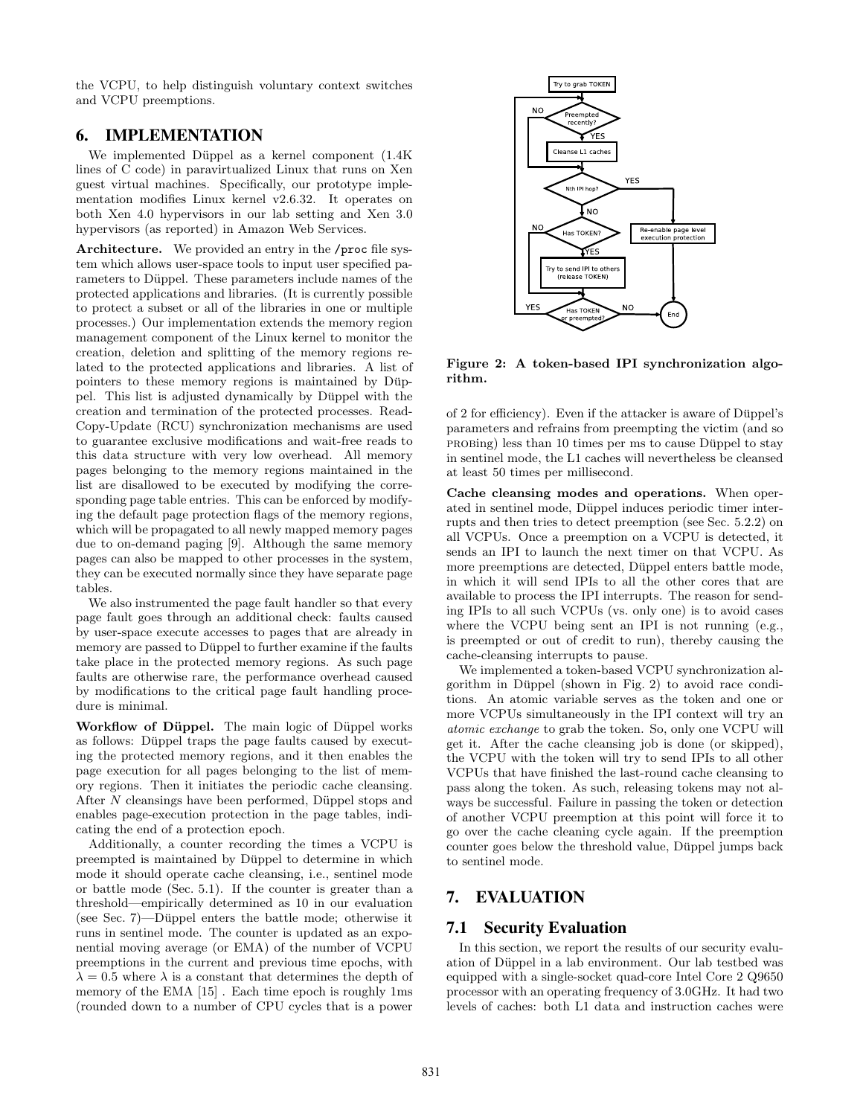the VCPU, to help distinguish voluntary context switches and VCPU preemptions.

# 6. IMPLEMENTATION

We implemented Düppel as a kernel component (1.4K) lines of C code) in paravirtualized Linux that runs on Xen guest virtual machines. Specifically, our prototype implementation modifies Linux kernel v2.6.32. It operates on both Xen 4.0 hypervisors in our lab setting and Xen 3.0 hypervisors (as reported) in Amazon Web Services.

Architecture. We provided an entry in the /proc file system which allows user-space tools to input user specified parameters to Düppel. These parameters include names of the protected applications and libraries. (It is currently possible to protect a subset or all of the libraries in one or multiple processes.) Our implementation extends the memory region management component of the Linux kernel to monitor the creation, deletion and splitting of the memory regions related to the protected applications and libraries. A list of pointers to these memory regions is maintained by Düppel. This list is adjusted dynamically by Düppel with the creation and termination of the protected processes. Read-Copy-Update (RCU) synchronization mechanisms are used to guarantee exclusive modifications and wait-free reads to this data structure with very low overhead. All memory pages belonging to the memory regions maintained in the list are disallowed to be executed by modifying the corresponding page table entries. This can be enforced by modifying the default page protection flags of the memory regions, which will be propagated to all newly mapped memory pages due to on-demand paging [9]. Although the same memory pages can also be mapped to other processes in the system, they can be executed normally since they have separate page tables.

We also instrumented the page fault handler so that every page fault goes through an additional check: faults caused by user-space execute accesses to pages that are already in memory are passed to Düppel to further examine if the faults take place in the protected memory regions. As such page faults are otherwise rare, the performance overhead caused by modifications to the critical page fault handling procedure is minimal.

Workflow of Düppel. The main logic of Düppel works as follows: Düppel traps the page faults caused by executing the protected memory regions, and it then enables the page execution for all pages belonging to the list of memory regions. Then it initiates the periodic cache cleansing. After  $N$  cleansings have been performed, Düppel stops and enables page-execution protection in the page tables, indicating the end of a protection epoch.

Additionally, a counter recording the times a VCPU is preempted is maintained by Düppel to determine in which mode it should operate cache cleansing, i.e., sentinel mode or battle mode (Sec. 5.1). If the counter is greater than a threshold—empirically determined as 10 in our evaluation (see Sec. 7)—Duppel enters the battle mode; otherwise it runs in sentinel mode. The counter is updated as an exponential moving average (or EMA) of the number of VCPU preemptions in the current and previous time epochs, with  $\lambda = 0.5$  where  $\lambda$  is a constant that determines the depth of memory of the EMA [15] . Each time epoch is roughly 1ms (rounded down to a number of CPU cycles that is a power



Figure 2: A token-based IPI synchronization algorithm.

of 2 for efficiency). Even if the attacker is aware of Düppel's parameters and refrains from preempting the victim (and so probing) less than 10 times per ms to cause Duppel to stay ¨ in sentinel mode, the L1 caches will nevertheless be cleansed at least 50 times per millisecond.

Cache cleansing modes and operations. When operated in sentinel mode, Düppel induces periodic timer interrupts and then tries to detect preemption (see Sec. 5.2.2) on all VCPUs. Once a preemption on a VCPU is detected, it sends an IPI to launch the next timer on that VCPU. As more preemptions are detected, Düppel enters battle mode, in which it will send IPIs to all the other cores that are available to process the IPI interrupts. The reason for sending IPIs to all such VCPUs (vs. only one) is to avoid cases where the VCPU being sent an IPI is not running (e.g., is preempted or out of credit to run), thereby causing the cache-cleansing interrupts to pause.

We implemented a token-based VCPU synchronization algorithm in Düppel (shown in Fig. 2) to avoid race conditions. An atomic variable serves as the token and one or more VCPUs simultaneously in the IPI context will try an atomic exchange to grab the token. So, only one VCPU will get it. After the cache cleansing job is done (or skipped), the VCPU with the token will try to send IPIs to all other VCPUs that have finished the last-round cache cleansing to pass along the token. As such, releasing tokens may not always be successful. Failure in passing the token or detection of another VCPU preemption at this point will force it to go over the cache cleaning cycle again. If the preemption counter goes below the threshold value, Düppel jumps back to sentinel mode.

# 7. EVALUATION

## 7.1 Security Evaluation

In this section, we report the results of our security evaluation of Duppel in a lab environment. Our lab testbed was ¨ equipped with a single-socket quad-core Intel Core 2 Q9650 processor with an operating frequency of 3.0GHz. It had two levels of caches: both L1 data and instruction caches were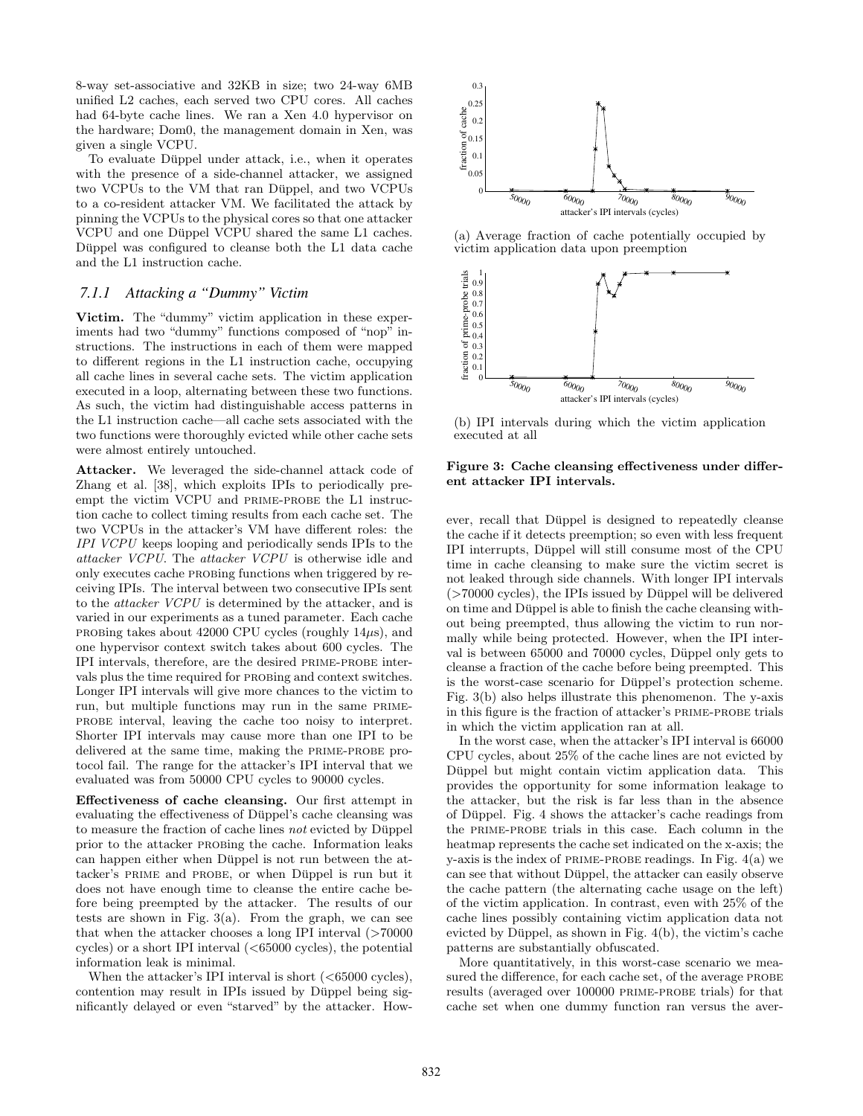8-way set-associative and 32KB in size; two 24-way 6MB unified L2 caches, each served two CPU cores. All caches had 64-byte cache lines. We ran a Xen 4.0 hypervisor on the hardware; Dom0, the management domain in Xen, was given a single VCPU.

To evaluate Düppel under attack, i.e., when it operates with the presence of a side-channel attacker, we assigned two VCPUs to the VM that ran Düppel, and two VCPUs to a co-resident attacker VM. We facilitated the attack by pinning the VCPUs to the physical cores so that one attacker VCPU and one Düppel VCPU shared the same L1 caches. Düppel was configured to cleanse both the L1 data cache and the L1 instruction cache.

#### *7.1.1 Attacking a "Dummy" Victim*

Victim. The "dummy" victim application in these experiments had two "dummy" functions composed of "nop" instructions. The instructions in each of them were mapped to different regions in the L1 instruction cache, occupying all cache lines in several cache sets. The victim application executed in a loop, alternating between these two functions. As such, the victim had distinguishable access patterns in the L1 instruction cache—all cache sets associated with the two functions were thoroughly evicted while other cache sets were almost entirely untouched.

Attacker. We leveraged the side-channel attack code of Zhang et al. [38], which exploits IPIs to periodically preempt the victim VCPU and prime-probe the L1 instruction cache to collect timing results from each cache set. The two VCPUs in the attacker's VM have different roles: the IPI VCPU keeps looping and periodically sends IPIs to the attacker VCPU. The attacker VCPU is otherwise idle and only executes cache probing functions when triggered by receiving IPIs. The interval between two consecutive IPIs sent to the attacker VCPU is determined by the attacker, and is varied in our experiments as a tuned parameter. Each cache probing takes about 42000 CPU cycles (roughly  $14\mu$ s), and one hypervisor context switch takes about 600 cycles. The IPI intervals, therefore, are the desired prime-probe intervals plus the time required for probing and context switches. Longer IPI intervals will give more chances to the victim to run, but multiple functions may run in the same primeprobe interval, leaving the cache too noisy to interpret. Shorter IPI intervals may cause more than one IPI to be delivered at the same time, making the PRIME-PROBE protocol fail. The range for the attacker's IPI interval that we evaluated was from 50000 CPU cycles to 90000 cycles.

Effectiveness of cache cleansing. Our first attempt in evaluating the effectiveness of Düppel's cache cleansing was to measure the fraction of cache lines not evicted by Düppel prior to the attacker probing the cache. Information leaks can happen either when Düppel is not run between the attacker's PRIME and PROBE, or when Düppel is run but it does not have enough time to cleanse the entire cache before being preempted by the attacker. The results of our tests are shown in Fig.  $3(a)$ . From the graph, we can see that when the attacker chooses a long IPI interval (>70000 cycles) or a short IPI interval (<65000 cycles), the potential information leak is minimal.

When the attacker's IPI interval is short  $( $65000 \text{ cycles}$ ),$ contention may result in IPIs issued by Düppel being significantly delayed or even "starved" by the attacker. How-



(a) Average fraction of cache potentially occupied by victim application data upon preemption



(b) IPI intervals during which the victim application executed at all

#### Figure 3: Cache cleansing effectiveness under different attacker IPI intervals.

ever, recall that Düppel is designed to repeatedly cleanse the cache if it detects preemption; so even with less frequent IPI interrupts, Duppel will still consume most of the CPU ¨ time in cache cleansing to make sure the victim secret is not leaked through side channels. With longer IPI intervals  $($ >70000 cycles), the IPIs issued by Düppel will be delivered on time and Düppel is able to finish the cache cleansing without being preempted, thus allowing the victim to run normally while being protected. However, when the IPI interval is between 65000 and 70000 cycles, Düppel only gets to cleanse a fraction of the cache before being preempted. This is the worst-case scenario for Düppel's protection scheme. Fig. 3(b) also helps illustrate this phenomenon. The y-axis in this figure is the fraction of attacker's prime-probe trials in which the victim application ran at all.

In the worst case, when the attacker's IPI interval is 66000 CPU cycles, about 25% of the cache lines are not evicted by Düppel but might contain victim application data. This provides the opportunity for some information leakage to the attacker, but the risk is far less than in the absence of Düppel. Fig. 4 shows the attacker's cache readings from the prime-probe trials in this case. Each column in the heatmap represents the cache set indicated on the x-axis; the y-axis is the index of prime-probe readings. In Fig. 4(a) we can see that without Düppel, the attacker can easily observe the cache pattern (the alternating cache usage on the left) of the victim application. In contrast, even with 25% of the cache lines possibly containing victim application data not evicted by Düppel, as shown in Fig.  $4(b)$ , the victim's cache patterns are substantially obfuscated.

More quantitatively, in this worst-case scenario we measured the difference, for each cache set, of the average PROBE results (averaged over 100000 prime-probe trials) for that cache set when one dummy function ran versus the aver-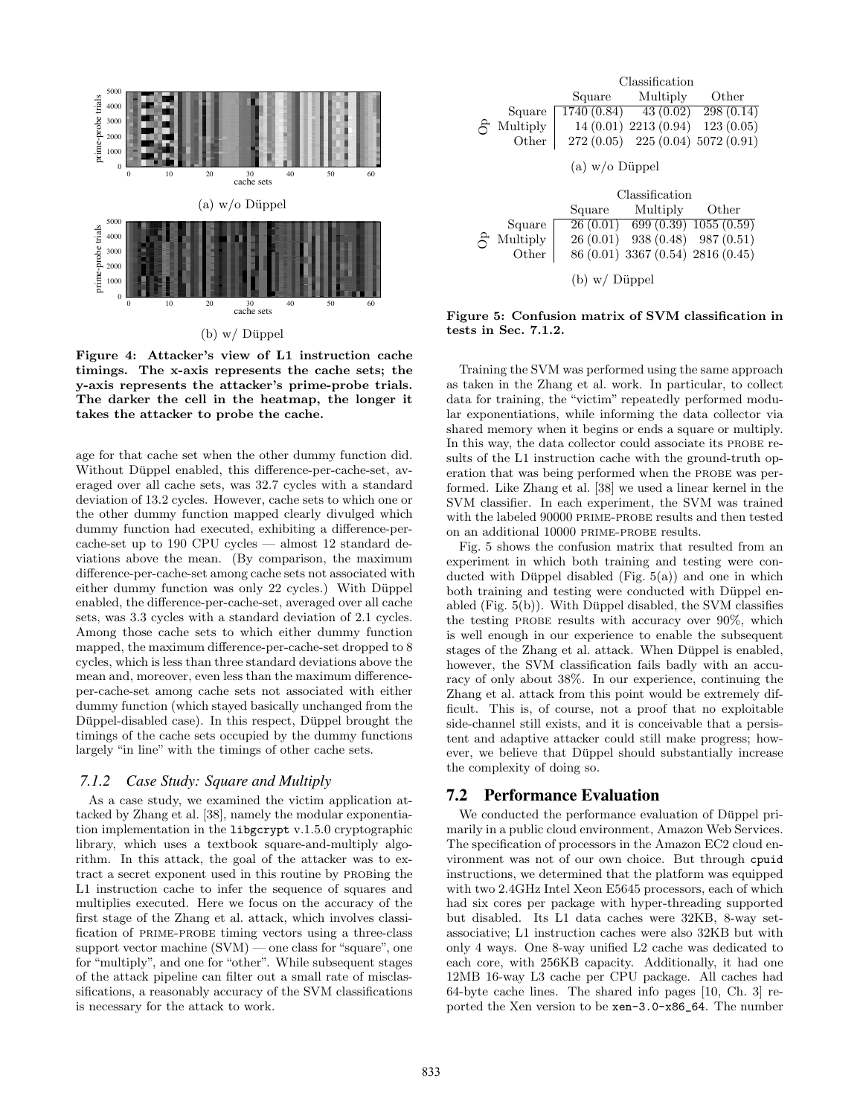

 $(b) w/D$ üppel

Figure 4: Attacker's view of L1 instruction cache timings. The x-axis represents the cache sets; the y-axis represents the attacker's prime-probe trials. The darker the cell in the heatmap, the longer it takes the attacker to probe the cache.

age for that cache set when the other dummy function did. Without Düppel enabled, this difference-per-cache-set, averaged over all cache sets, was 32.7 cycles with a standard deviation of 13.2 cycles. However, cache sets to which one or the other dummy function mapped clearly divulged which dummy function had executed, exhibiting a difference-percache-set up to 190 CPU cycles — almost 12 standard deviations above the mean. (By comparison, the maximum difference-per-cache-set among cache sets not associated with either dummy function was only  $22$  cycles.) With Düppel enabled, the difference-per-cache-set, averaged over all cache sets, was 3.3 cycles with a standard deviation of 2.1 cycles. Among those cache sets to which either dummy function mapped, the maximum difference-per-cache-set dropped to 8 cycles, which is less than three standard deviations above the mean and, moreover, even less than the maximum differenceper-cache-set among cache sets not associated with either dummy function (which stayed basically unchanged from the Düppel-disabled case). In this respect, Düppel brought the timings of the cache sets occupied by the dummy functions largely "in line" with the timings of other cache sets.

#### *7.1.2 Case Study: Square and Multiply*

As a case study, we examined the victim application attacked by Zhang et al. [38], namely the modular exponentiation implementation in the libgcrypt v.1.5.0 cryptographic library, which uses a textbook square-and-multiply algorithm. In this attack, the goal of the attacker was to extract a secret exponent used in this routine by probing the L1 instruction cache to infer the sequence of squares and multiplies executed. Here we focus on the accuracy of the first stage of the Zhang et al. attack, which involves classification of prime-probe timing vectors using a three-class support vector machine (SVM) — one class for "square", one for "multiply", and one for "other". While subsequent stages of the attack pipeline can filter out a small rate of misclassifications, a reasonably accuracy of the SVM classifications is necessary for the attack to work.

| Square<br>Multiply<br>Other |                                                                           | Classification<br>Square Multiply<br>$1740(0.84)$ 43 (0.02) 298 (0.14)<br>$14(0.01)$ 2213 $(0.94)$                                | Other<br>123(0.05) |
|-----------------------------|---------------------------------------------------------------------------|-----------------------------------------------------------------------------------------------------------------------------------|--------------------|
|                             | $272(0.05)$ $225(0.04)$ 5072 (0.91)<br>(a) $w/o$ Düppel<br>Classification |                                                                                                                                   |                    |
| Square<br>Multiply<br>Other | (b) w/ Düppel                                                             | Square Multiply<br>$26(0.01)$ 699 (0.39) 1055 (0.59)<br>$26(0.01)$ 938 $(0.48)$ 987 $(0.51)$<br>86 (0.01) 3367 (0.54) 2816 (0.45) | Other              |

Figure 5: Confusion matrix of SVM classification in tests in Sec. 7.1.2.

Training the SVM was performed using the same approach as taken in the Zhang et al. work. In particular, to collect data for training, the "victim" repeatedly performed modular exponentiations, while informing the data collector via shared memory when it begins or ends a square or multiply. In this way, the data collector could associate its PROBE results of the L1 instruction cache with the ground-truth operation that was being performed when the PROBE was performed. Like Zhang et al. [38] we used a linear kernel in the SVM classifier. In each experiment, the SVM was trained with the labeled 90000 prime-probe results and then tested on an additional 10000 prime-probe results.

Fig. 5 shows the confusion matrix that resulted from an experiment in which both training and testing were conducted with Düppel disabled (Fig.  $5(a)$ ) and one in which both training and testing were conducted with Düppel enabled (Fig.  $5(b)$ ). With Düppel disabled, the SVM classifies the testing probe results with accuracy over 90%, which is well enough in our experience to enable the subsequent stages of the Zhang et al. attack. When Düppel is enabled, however, the SVM classification fails badly with an accuracy of only about 38%. In our experience, continuing the Zhang et al. attack from this point would be extremely difficult. This is, of course, not a proof that no exploitable side-channel still exists, and it is conceivable that a persistent and adaptive attacker could still make progress; however, we believe that Düppel should substantially increase the complexity of doing so.

## 7.2 Performance Evaluation

We conducted the performance evaluation of Düppel primarily in a public cloud environment, Amazon Web Services. The specification of processors in the Amazon EC2 cloud environment was not of our own choice. But through cpuid instructions, we determined that the platform was equipped with two 2.4GHz Intel Xeon E5645 processors, each of which had six cores per package with hyper-threading supported but disabled. Its L1 data caches were 32KB, 8-way setassociative; L1 instruction caches were also 32KB but with only 4 ways. One 8-way unified L2 cache was dedicated to each core, with 256KB capacity. Additionally, it had one 12MB 16-way L3 cache per CPU package. All caches had 64-byte cache lines. The shared info pages [10, Ch. 3] reported the Xen version to be xen-3.0-x86\_64. The number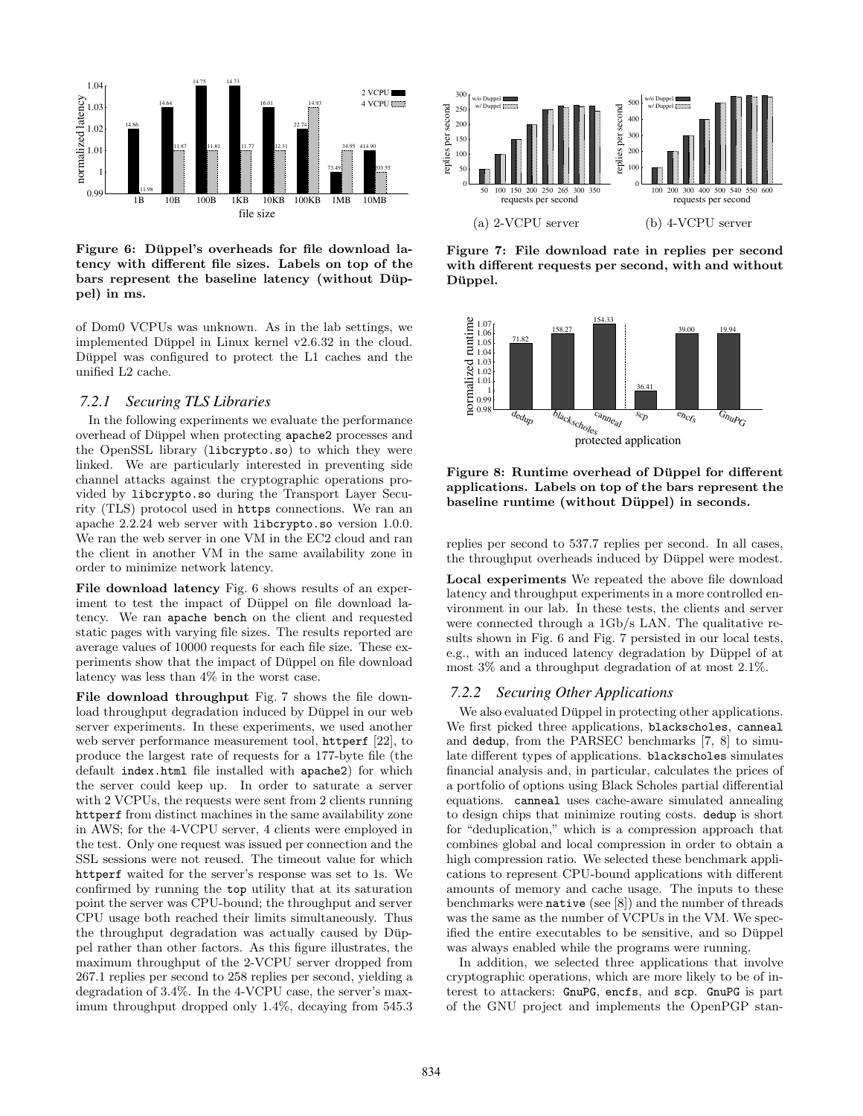

Figure 6: Düppel's overheads for file download latency with different file sizes. Labels on top of the bars represent the baseline latency (without Düppel) in ms.

of Dom0 VCPUs was unknown. As in the lab settings, we implemented Düppel in Linux kernel  $v2.6.32$  in the cloud. Duppel was configured to protect the L1 caches and the unified L2 cache.

#### *7.2.1 Securing TLS Libraries*

In the following experiments we evaluate the performance overhead of Düppel when protecting apache2 processes and the OpenSSL library (libcrypto.so) to which they were linked. We are particularly interested in preventing side channel attacks against the cryptographic operations provided by libcrypto.so during the Transport Layer Security (TLS) protocol used in https connections. We ran an apache 2.2.24 web server with libcrypto.so version 1.0.0. We ran the web server in one VM in the EC2 cloud and ran the client in another VM in the same availability zone in order to minimize network latency.

File download latency Fig. 6 shows results of an experiment to test the impact of Düppel on file download latency. We ran apache bench on the client and requested static pages with varying file sizes. The results reported are average values of 10000 requests for each file size. These experiments show that the impact of Düppel on file download latency was less than 4% in the worst case.

File download throughput Fig. 7 shows the file download throughput degradation induced by Düppel in our web server experiments. In these experiments, we used another web server performance measurement tool, httperf [22], to produce the largest rate of requests for a 177-byte file (the default index.html file installed with apache2) for which the server could keep up. In order to saturate a server with 2 VCPUs, the requests were sent from 2 clients running httperf from distinct machines in the same availability zone in AWS; for the 4-VCPU server, 4 clients were employed in the test. Only one request was issued per connection and the SSL sessions were not reused. The timeout value for which httperf waited for the server's response was set to 1s. We confirmed by running the top utility that at its saturation point the server was CPU-bound; the throughput and server CPU usage both reached their limits simultaneously. Thus the throughput degradation was actually caused by Düppel rather than other factors. As this figure illustrates, the maximum throughput of the 2-VCPU server dropped from 267.1 replies per second to 258 replies per second, yielding a degradation of 3.4%. In the 4-VCPU case, the server's maximum throughput dropped only 1.4%, decaying from 545.3



Figure 7: File download rate in replies per second with different requests per second, with and without Düppel.



Figure 8: Runtime overhead of Düppel for different applications. Labels on top of the bars represent the baseline runtime (without Düppel) in seconds.

replies per second to 537.7 replies per second. In all cases, the throughput overheads induced by Düppel were modest.

Local experiments We repeated the above file download latency and throughput experiments in a more controlled environment in our lab. In these tests, the clients and server were connected through a 1Gb/s LAN. The qualitative results shown in Fig. 6 and Fig. 7 persisted in our local tests, e.g., with an induced latency degradation by Düppel of at most 3% and a throughput degradation of at most 2.1%.

#### *7.2.2 Securing Other Applications*

We also evaluated Düppel in protecting other applications. We first picked three applications, blackscholes, canneal and dedup, from the PARSEC benchmarks [7, 8] to simulate different types of applications. blackscholes simulates financial analysis and, in particular, calculates the prices of a portfolio of options using Black Scholes partial differential equations. canneal uses cache-aware simulated annealing to design chips that minimize routing costs. dedup is short for "deduplication," which is a compression approach that combines global and local compression in order to obtain a high compression ratio. We selected these benchmark applications to represent CPU-bound applications with different amounts of memory and cache usage. The inputs to these benchmarks were native (see [8]) and the number of threads was the same as the number of VCPUs in the VM. We specified the entire executables to be sensitive, and so Düppel was always enabled while the programs were running.

In addition, we selected three applications that involve cryptographic operations, which are more likely to be of interest to attackers: GnuPG, encfs, and scp. GnuPG is part of the GNU project and implements the OpenPGP stan-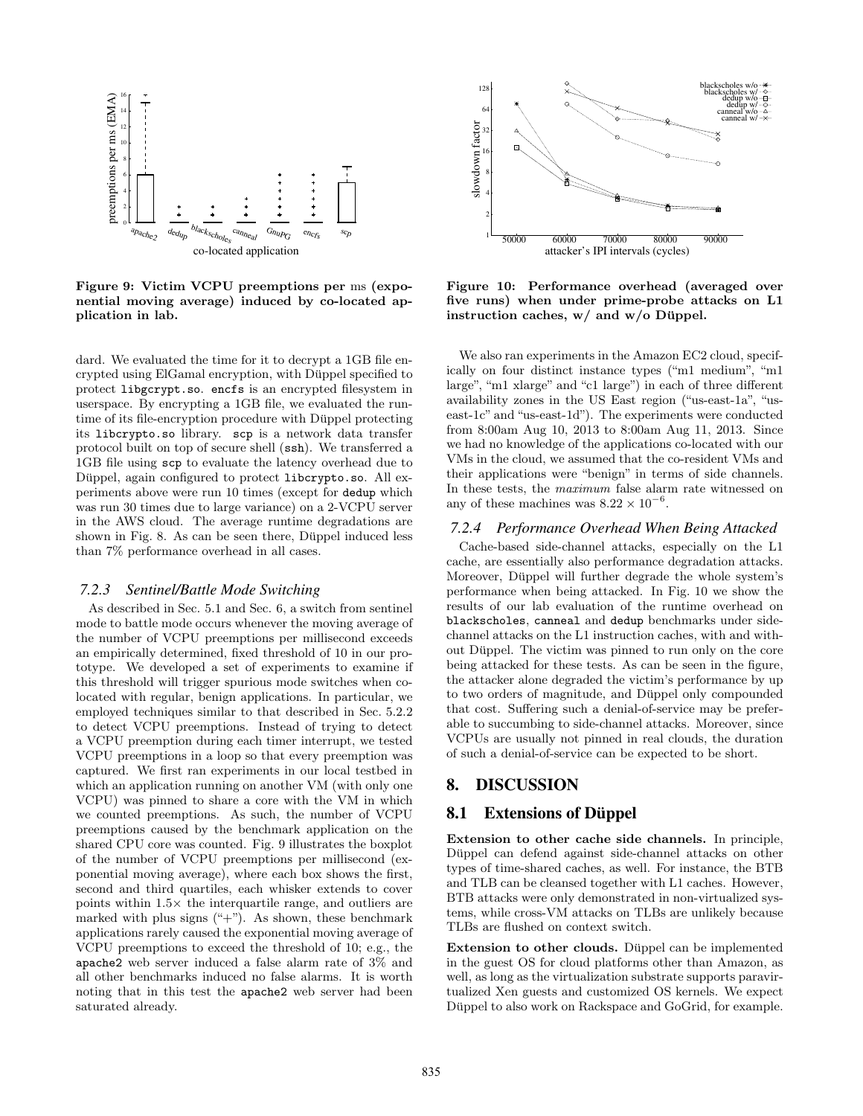

Figure 9: Victim VCPU preemptions per ms (exponential moving average) induced by co-located application in lab.

dard. We evaluated the time for it to decrypt a 1GB file encrypted using ElGamal encryption, with Düppel specified to protect libgcrypt.so. encfs is an encrypted filesystem in userspace. By encrypting a 1GB file, we evaluated the runtime of its file-encryption procedure with Düppel protecting its libcrypto.so library. scp is a network data transfer protocol built on top of secure shell (ssh). We transferred a 1GB file using scp to evaluate the latency overhead due to Düppel, again configured to protect libcrypto.so. All experiments above were run 10 times (except for dedup which was run 30 times due to large variance) on a 2-VCPU server in the AWS cloud. The average runtime degradations are shown in Fig. 8. As can be seen there, Düppel induced less than 7% performance overhead in all cases.

#### *7.2.3 Sentinel/Battle Mode Switching*

As described in Sec. 5.1 and Sec. 6, a switch from sentinel mode to battle mode occurs whenever the moving average of the number of VCPU preemptions per millisecond exceeds an empirically determined, fixed threshold of 10 in our prototype. We developed a set of experiments to examine if this threshold will trigger spurious mode switches when colocated with regular, benign applications. In particular, we employed techniques similar to that described in Sec. 5.2.2 to detect VCPU preemptions. Instead of trying to detect a VCPU preemption during each timer interrupt, we tested VCPU preemptions in a loop so that every preemption was captured. We first ran experiments in our local testbed in which an application running on another VM (with only one VCPU) was pinned to share a core with the VM in which we counted preemptions. As such, the number of VCPU preemptions caused by the benchmark application on the shared CPU core was counted. Fig. 9 illustrates the boxplot of the number of VCPU preemptions per millisecond (exponential moving average), where each box shows the first, second and third quartiles, each whisker extends to cover points within  $1.5\times$  the interquartile range, and outliers are marked with plus signs  $(4)$ . As shown, these benchmark applications rarely caused the exponential moving average of VCPU preemptions to exceed the threshold of 10; e.g., the apache2 web server induced a false alarm rate of 3% and all other benchmarks induced no false alarms. It is worth noting that in this test the apache2 web server had been saturated already.



Figure 10: Performance overhead (averaged over five runs) when under prime-probe attacks on L1 instruction caches,  $w/$  and  $w/$ o Düppel.

We also ran experiments in the Amazon EC2 cloud, specifically on four distinct instance types ("m1 medium", "m1 large", "m1 xlarge" and "c1 large") in each of three different availability zones in the US East region ("us-east-1a", "useast-1c" and "us-east-1d"). The experiments were conducted from 8:00am Aug 10, 2013 to 8:00am Aug 11, 2013. Since we had no knowledge of the applications co-located with our VMs in the cloud, we assumed that the co-resident VMs and their applications were "benign" in terms of side channels. In these tests, the maximum false alarm rate witnessed on any of these machines was  $8.22 \times 10^{-6}$ .

#### *7.2.4 Performance Overhead When Being Attacked*

Cache-based side-channel attacks, especially on the L1 cache, are essentially also performance degradation attacks. Moreover, Düppel will further degrade the whole system's performance when being attacked. In Fig. 10 we show the results of our lab evaluation of the runtime overhead on blackscholes, canneal and dedup benchmarks under sidechannel attacks on the L1 instruction caches, with and without Düppel. The victim was pinned to run only on the core being attacked for these tests. As can be seen in the figure, the attacker alone degraded the victim's performance by up to two orders of magnitude, and Düppel only compounded that cost. Suffering such a denial-of-service may be preferable to succumbing to side-channel attacks. Moreover, since VCPUs are usually not pinned in real clouds, the duration of such a denial-of-service can be expected to be short.

## 8. DISCUSSION

## 8.1 Extensions of Düppel

Extension to other cache side channels. In principle, Düppel can defend against side-channel attacks on other types of time-shared caches, as well. For instance, the BTB and TLB can be cleansed together with L1 caches. However, BTB attacks were only demonstrated in non-virtualized systems, while cross-VM attacks on TLBs are unlikely because TLBs are flushed on context switch.

Extension to other clouds. Duppel can be implemented in the guest OS for cloud platforms other than Amazon, as well, as long as the virtualization substrate supports paravirtualized Xen guests and customized OS kernels. We expect Düppel to also work on Rackspace and GoGrid, for example.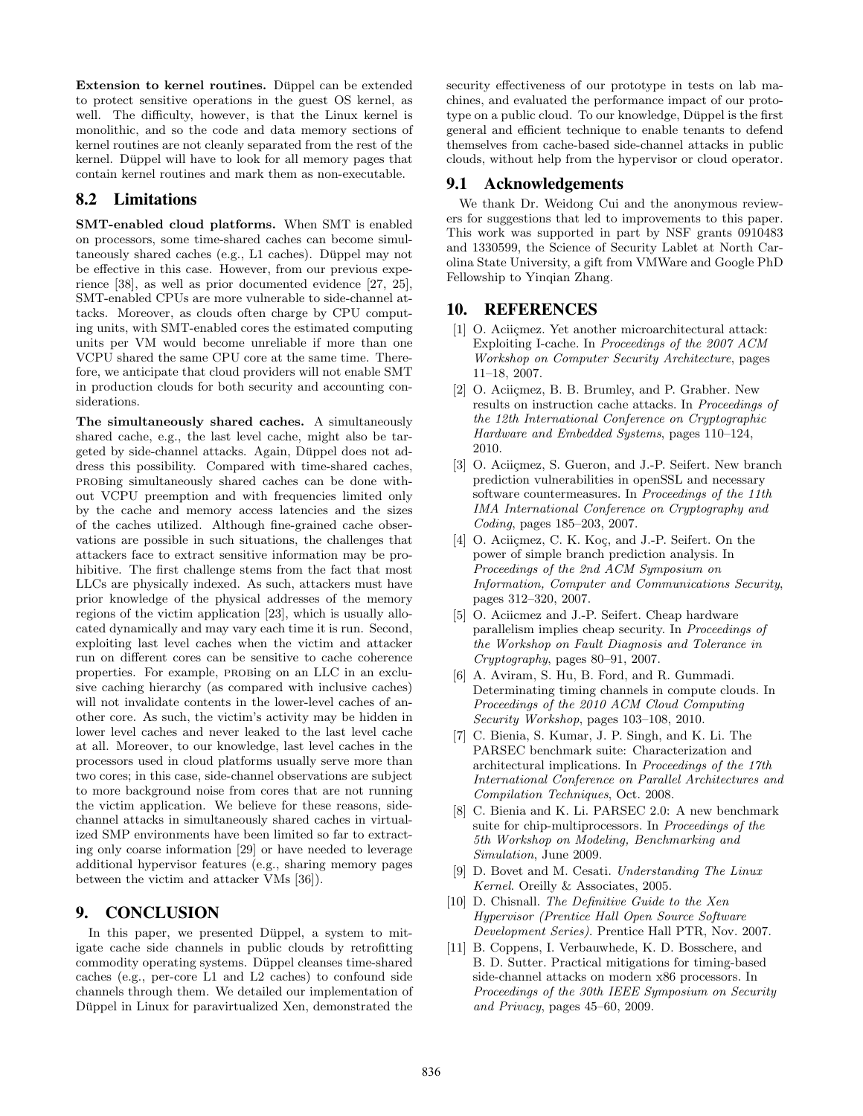Extension to kernel routines. Düppel can be extended to protect sensitive operations in the guest OS kernel, as well. The difficulty, however, is that the Linux kernel is monolithic, and so the code and data memory sections of kernel routines are not cleanly separated from the rest of the kernel. Düppel will have to look for all memory pages that contain kernel routines and mark them as non-executable.

## 8.2 Limitations

SMT-enabled cloud platforms. When SMT is enabled on processors, some time-shared caches can become simultaneously shared caches (e.g., L1 caches). Düppel may not be effective in this case. However, from our previous experience [38], as well as prior documented evidence [27, 25], SMT-enabled CPUs are more vulnerable to side-channel attacks. Moreover, as clouds often charge by CPU computing units, with SMT-enabled cores the estimated computing units per VM would become unreliable if more than one VCPU shared the same CPU core at the same time. Therefore, we anticipate that cloud providers will not enable SMT in production clouds for both security and accounting considerations.

The simultaneously shared caches. A simultaneously shared cache, e.g., the last level cache, might also be targeted by side-channel attacks. Again, Düppel does not address this possibility. Compared with time-shared caches, probing simultaneously shared caches can be done without VCPU preemption and with frequencies limited only by the cache and memory access latencies and the sizes of the caches utilized. Although fine-grained cache observations are possible in such situations, the challenges that attackers face to extract sensitive information may be prohibitive. The first challenge stems from the fact that most LLCs are physically indexed. As such, attackers must have prior knowledge of the physical addresses of the memory regions of the victim application [23], which is usually allocated dynamically and may vary each time it is run. Second, exploiting last level caches when the victim and attacker run on different cores can be sensitive to cache coherence properties. For example, probing on an LLC in an exclusive caching hierarchy (as compared with inclusive caches) will not invalidate contents in the lower-level caches of another core. As such, the victim's activity may be hidden in lower level caches and never leaked to the last level cache at all. Moreover, to our knowledge, last level caches in the processors used in cloud platforms usually serve more than two cores; in this case, side-channel observations are subject to more background noise from cores that are not running the victim application. We believe for these reasons, sidechannel attacks in simultaneously shared caches in virtualized SMP environments have been limited so far to extracting only coarse information [29] or have needed to leverage additional hypervisor features (e.g., sharing memory pages between the victim and attacker VMs [36]).

## 9. CONCLUSION

In this paper, we presented Düppel, a system to mitigate cache side channels in public clouds by retrofitting commodity operating systems. Duppel cleanses time-shared caches (e.g., per-core L1 and L2 caches) to confound side channels through them. We detailed our implementation of Düppel in Linux for paravirtualized Xen, demonstrated the

security effectiveness of our prototype in tests on lab machines, and evaluated the performance impact of our prototype on a public cloud. To our knowledge, Düppel is the first general and efficient technique to enable tenants to defend themselves from cache-based side-channel attacks in public clouds, without help from the hypervisor or cloud operator.

## 9.1 Acknowledgements

We thank Dr. Weidong Cui and the anonymous reviewers for suggestions that led to improvements to this paper. This work was supported in part by NSF grants 0910483 and 1330599, the Science of Security Lablet at North Carolina State University, a gift from VMWare and Google PhD Fellowship to Yinqian Zhang.

# 10. REFERENCES

- [1] O. Aciicmez. Yet another microarchitectural attack: Exploiting I-cache. In Proceedings of the 2007 ACM Workshop on Computer Security Architecture, pages 11–18, 2007.
- [2] O. Aciiçmez, B. B. Brumley, and P. Grabher. New results on instruction cache attacks. In Proceedings of the 12th International Conference on Cryptographic Hardware and Embedded Systems, pages 110–124, 2010.
- [3] O. Aciiçmez, S. Gueron, and J.-P. Seifert. New branch prediction vulnerabilities in openSSL and necessary software countermeasures. In Proceedings of the 11th IMA International Conference on Cryptography and Coding, pages 185–203, 2007.
- [4] O. Aciiçmez, C. K. Koç, and J.-P. Seifert. On the power of simple branch prediction analysis. In Proceedings of the 2nd ACM Symposium on Information, Computer and Communications Security, pages 312–320, 2007.
- [5] O. Aciicmez and J.-P. Seifert. Cheap hardware parallelism implies cheap security. In Proceedings of the Workshop on Fault Diagnosis and Tolerance in Cryptography, pages 80–91, 2007.
- [6] A. Aviram, S. Hu, B. Ford, and R. Gummadi. Determinating timing channels in compute clouds. In Proceedings of the 2010 ACM Cloud Computing Security Workshop, pages 103–108, 2010.
- [7] C. Bienia, S. Kumar, J. P. Singh, and K. Li. The PARSEC benchmark suite: Characterization and architectural implications. In Proceedings of the 17th International Conference on Parallel Architectures and Compilation Techniques, Oct. 2008.
- [8] C. Bienia and K. Li. PARSEC 2.0: A new benchmark suite for chip-multiprocessors. In Proceedings of the 5th Workshop on Modeling, Benchmarking and Simulation, June 2009.
- [9] D. Bovet and M. Cesati. Understanding The Linux Kernel. Oreilly & Associates, 2005.
- [10] D. Chisnall. The Definitive Guide to the Xen Hypervisor (Prentice Hall Open Source Software Development Series). Prentice Hall PTR, Nov. 2007.
- [11] B. Coppens, I. Verbauwhede, K. D. Bosschere, and B. D. Sutter. Practical mitigations for timing-based side-channel attacks on modern x86 processors. In Proceedings of the 30th IEEE Symposium on Security and Privacy, pages 45–60, 2009.